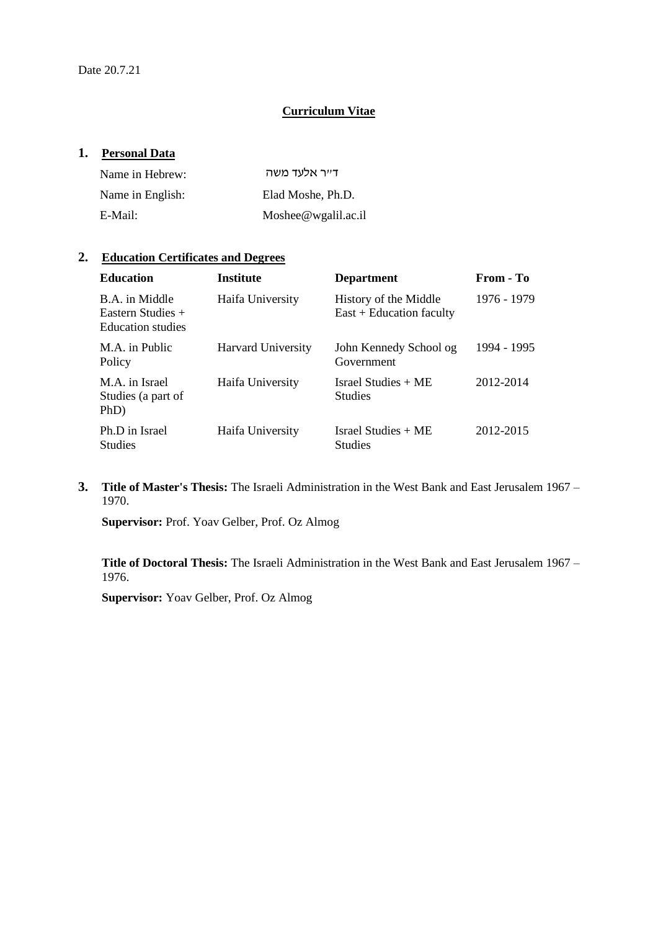# **Curriculum Vitae**

## **1. Personal Data**

| Name in Hebrew:  | דייר אלעד משה           |
|------------------|-------------------------|
| Name in English: | Elad Moshe, Ph.D.       |
| E-Mail:          | Moshee $@$ wgalil.ac.il |

# **2. Education Certificates and Degrees**

| <b>Education</b>                                                  | <b>Institute</b>          | <b>Department</b>                                   | From - To   |
|-------------------------------------------------------------------|---------------------------|-----------------------------------------------------|-------------|
| B.A. in Middle<br>Eastern Studies $+$<br><b>Education</b> studies | Haifa University          | History of the Middle<br>$East + Education faculty$ | 1976 - 1979 |
| M.A. in Public<br>Policy                                          | <b>Harvard University</b> | John Kennedy School og<br>Government                | 1994 - 1995 |
| M.A. in Israel<br>Studies (a part of<br>PhD)                      | Haifa University          | Israel Studies + ME<br><b>Studies</b>               | 2012-2014   |
| Ph.D in Israel<br><b>Studies</b>                                  | Haifa University          | Israel Studies + ME<br><b>Studies</b>               | 2012-2015   |

**3. Title of Master's Thesis:** The Israeli Administration in the West Bank and East Jerusalem 1967 – 1970.

**Supervisor:** Prof. Yoav Gelber, Prof. Oz Almog

**Title of Doctoral Thesis:** The Israeli Administration in the West Bank and East Jerusalem 1967 – 1976.

**Supervisor:** Yoav Gelber, Prof. Oz Almog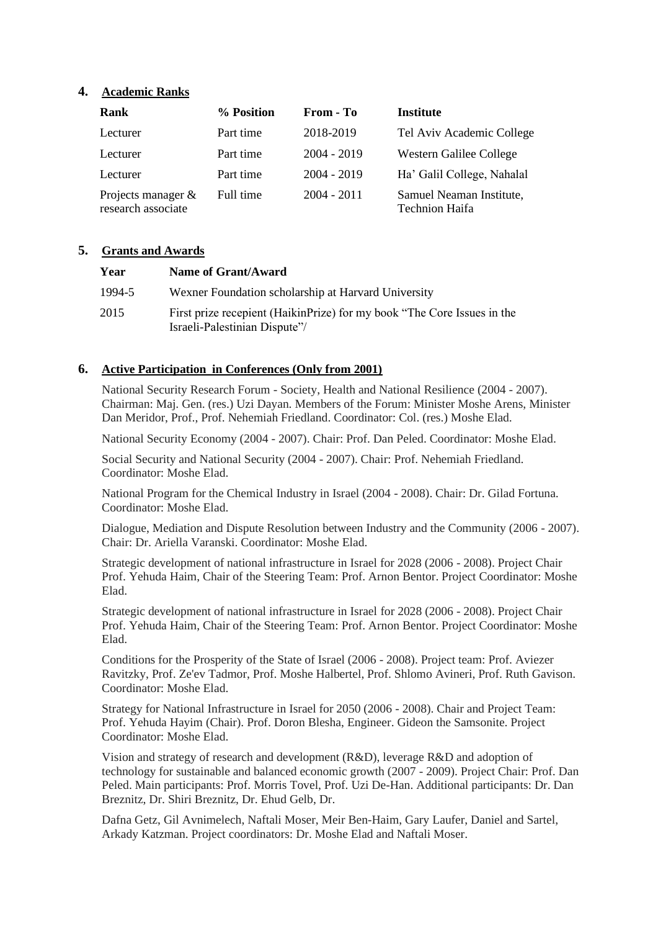## **4. Academic Ranks**

| Rank                                        | % Position | From - To     | <b>Institute</b>                                  |
|---------------------------------------------|------------|---------------|---------------------------------------------------|
| Lecturer                                    | Part time  | 2018-2019     | Tel Aviv Academic College                         |
| Lecturer                                    | Part time  | $2004 - 2019$ | Western Galilee College                           |
| Lecturer                                    | Part time  | $2004 - 2019$ | Ha' Galil College, Nahalal                        |
| Projects manager $\&$<br>research associate | Full time  | $2004 - 2011$ | Samuel Neaman Institute,<br><b>Technion Haifa</b> |

### **5. Grants and Awards**

| Year   | Name of Grant/Award                                                                                      |
|--------|----------------------------------------------------------------------------------------------------------|
| 1994-5 | Wexner Foundation scholarship at Harvard University                                                      |
| 2015   | First prize recepient (HaikinPrize) for my book "The Core Issues in the<br>Israeli-Palestinian Dispute"/ |

# **6. Active Participation in Conferences (Only from 2001)**

National Security Research Forum - Society, Health and National Resilience (2004 - 2007). Chairman: Maj. Gen. (res.) Uzi Dayan. Members of the Forum: Minister Moshe Arens, Minister Dan Meridor, Prof., Prof. Nehemiah Friedland. Coordinator: Col. (res.) Moshe Elad.

National Security Economy (2004 - 2007). Chair: Prof. Dan Peled. Coordinator: Moshe Elad.

Social Security and National Security (2004 - 2007). Chair: Prof. Nehemiah Friedland. Coordinator: Moshe Elad.

National Program for the Chemical Industry in Israel (2004 - 2008). Chair: Dr. Gilad Fortuna. Coordinator: Moshe Elad.

Dialogue, Mediation and Dispute Resolution between Industry and the Community (2006 - 2007). Chair: Dr. Ariella Varanski. Coordinator: Moshe Elad.

Strategic development of national infrastructure in Israel for 2028 (2006 - 2008). Project Chair Prof. Yehuda Haim, Chair of the Steering Team: Prof. Arnon Bentor. Project Coordinator: Moshe Elad.

Strategic development of national infrastructure in Israel for 2028 (2006 - 2008). Project Chair Prof. Yehuda Haim, Chair of the Steering Team: Prof. Arnon Bentor. Project Coordinator: Moshe Elad.

Conditions for the Prosperity of the State of Israel (2006 - 2008). Project team: Prof. Aviezer Ravitzky, Prof. Ze'ev Tadmor, Prof. Moshe Halbertel, Prof. Shlomo Avineri, Prof. Ruth Gavison. Coordinator: Moshe Elad.

Strategy for National Infrastructure in Israel for 2050 (2006 - 2008). Chair and Project Team: Prof. Yehuda Hayim (Chair). Prof. Doron Blesha, Engineer. Gideon the Samsonite. Project Coordinator: Moshe Elad.

Vision and strategy of research and development (R&D), leverage R&D and adoption of technology for sustainable and balanced economic growth (2007 - 2009). Project Chair: Prof. Dan Peled. Main participants: Prof. Morris Tovel, Prof. Uzi De-Han. Additional participants: Dr. Dan Breznitz, Dr. Shiri Breznitz, Dr. Ehud Gelb, Dr.

Dafna Getz, Gil Avnimelech, Naftali Moser, Meir Ben-Haim, Gary Laufer, Daniel and Sartel, Arkady Katzman. Project coordinators: Dr. Moshe Elad and Naftali Moser.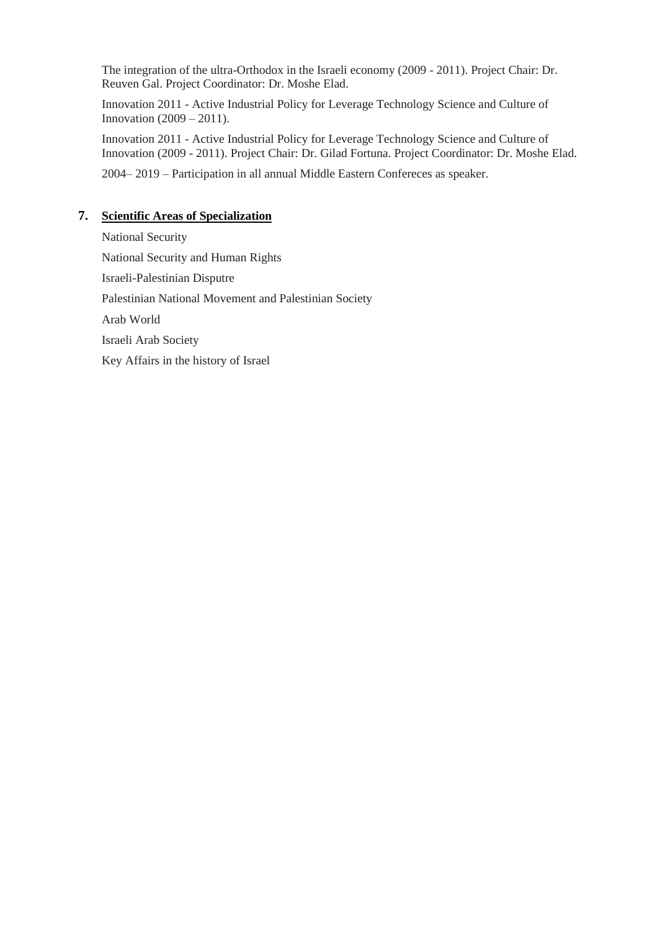The integration of the ultra-Orthodox in the Israeli economy (2009 - 2011). Project Chair: Dr. Reuven Gal. Project Coordinator: Dr. Moshe Elad.

Innovation 2011 - Active Industrial Policy for Leverage Technology Science and Culture of Innovation (2009 – 2011).

Innovation 2011 - Active Industrial Policy for Leverage Technology Science and Culture of Innovation (2009 - 2011). Project Chair: Dr. Gilad Fortuna. Project Coordinator: Dr. Moshe Elad.

2004– 2019 – Participation in all annual Middle Eastern Confereces as speaker.

# **7. Scientific Areas of Specialization**

National Security National Security and Human Rights Israeli-Palestinian Disputre Palestinian National Movement and Palestinian Society Arab World Israeli Arab Society Key Affairs in the history of Israel